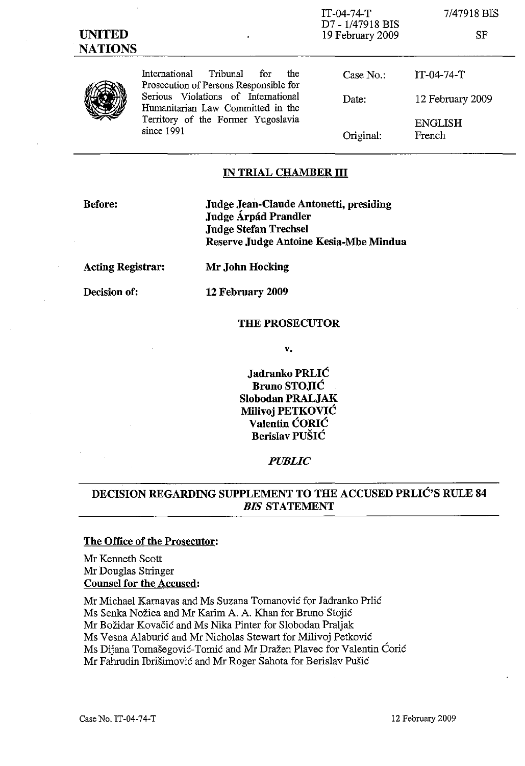IT-04-74-T D7 - 1/47918 BIS 19 February 2009

7/47918 BIS

SF



International Tribunal for the Prosecution of Persons Responsible for Serious Violations of International Humanitarian Law Committed in the Territory of the Former Yugoslavia since 1991

| Case $No.$ : | IT-04-74-T               |
|--------------|--------------------------|
| Date:        | 12 February 2009         |
| Original:    | <b>ENGLISH</b><br>French |

## **IN TRIAL CHAMBER III**

**Before: Judge Jean-Claude Antonetti, presiding Judge Arpad Prandler Judge Stefan Trechsel Reserve Judge Antoine Kesia-Mbe Mindua**

**Acting Registrar:**

**Mr John Hocking**

**Decision of:**

**12 February 2009**

#### **THE PROSECUTOR**

v.

**Jadranko PRLIC Bruno STO.IIC Siobodan PRALJAK Milivoj PETKOVIC Valentin CORIC Berislav PUSIC**

*PUBLIC*

# **DECISION REGARDING SUPPLEMENT TO THE ACCUSED PRLIC'S RULE 84** *DIS* **STATEMENT**

#### **The Office of the Prosecutor:**

Mr Kenneth Scott Mr Douglas Stringer **Counsel for the Accused:**

Mr Michael Karnavas and Ms Suzana Tomanovic for Jadranko Prlic Ms Senka Nozica and Mr Karim A. A. Khan for Bruno Stojic Mr Božidar Kovačić and Ms Nika Pinter for Slobodan Praljak Ms Vesna Alaburić and Mr Nicholas Stewart for Milivoj Petković Ms Dijana Tomašegović-Tomić and Mr Dražen Plavec for Valentin Ćorić Mr Fahrudin Ibrisimovic and Mr Roger Sahota for Berislav Pusic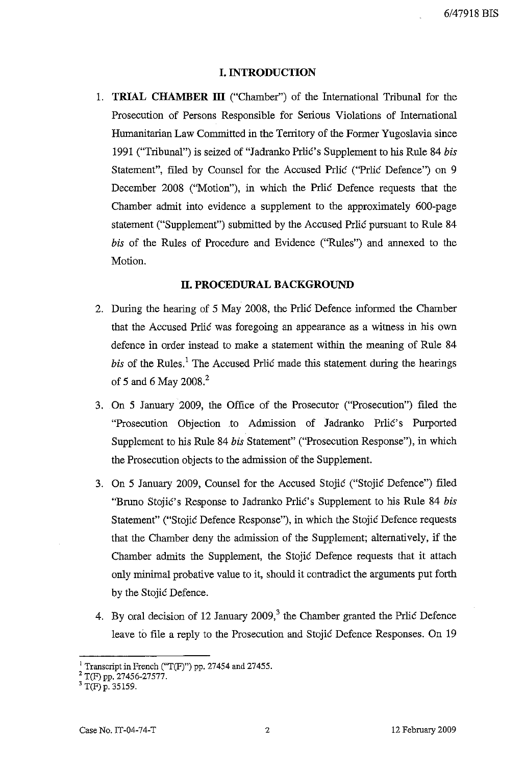#### **I. INTRODUCTION**

1. **TRIAL CHAMBER ill** ("Chamber") of the International Tribunal for the Prosecution of Persons Responsible for Serious Violations of International Humanitarian Law Committed in the Territory of the Former Yugoslavia since 1991 ("Tribunal") is seized of "Jadranko Prlic's Supplement to his Rille 84 *bis* Statement", filed by Counsel for the Accused Prlic ("Prlic Defence") on 9 December 2008 ("Motion"), in which the Prlic Defence requests that the Chamber admit into evidence a supplement to the approximately 600-page statement ("Supplement") submitted by the Accused Prlic pursuant to Rule 84 *bis* of the Rules of Procedure and Evidence ("Rules") and annexed to the Motion.

## **II. PROCEDURAL BACKGROUND**

- 2. During the hearing of 5 May 2008, the Prlic Defence informed the Chamber that the Accused Prlic was foregoing an appearance as a witness in his own defence in order instead to make a statement within the meaning of Rule 84 *bis* of the Rules.' The Accused Prlic made this statement during the hearings of 5 and 6 May 2008. $^{2}$
- 3. On 5 January 2009, the Office of the Prosecutor ("Prosecution") filed the "Prosecution Objection .to Admission of Jadranko Prlic's Purported Supplement to his Rule 84 *bis* Statement" ("Prosecution Response"), in which the Prosecution objects to the admission of the Supplement.
- 3. On 5 January 2009, Counsel for the Accused Stojic ("Stojic Defence") filed "Bruno Stojic's Response to Jadranko Prlic's Supplement to his Rule 84 *bis* Statement" ("Stojic Defence Response"), in which the Stojic Defence requests that the Chamber deny the admission of the Supplement; alternatively, if the Chamber admits the Supplement, the Stojic Defence requests that it attach only minimal probative value to it, should it contradict the arguments put forth by the Stojic Defence.
- 4. By oral decision of 12 January  $2009<sub>1</sub><sup>3</sup>$  the Chamber granted the Prlic Defence leave to file a reply to the Prosecution and Stojic Defence Responses. On 19

<sup>&</sup>lt;sup>1</sup> Transcript in French ("T(F)") pp. 27454 and 27455.

<sup>&</sup>lt;sup>2</sup> T(F) pp. 27456-27577.

<sup>&</sup>lt;sup>3</sup> T(F) p. 35159.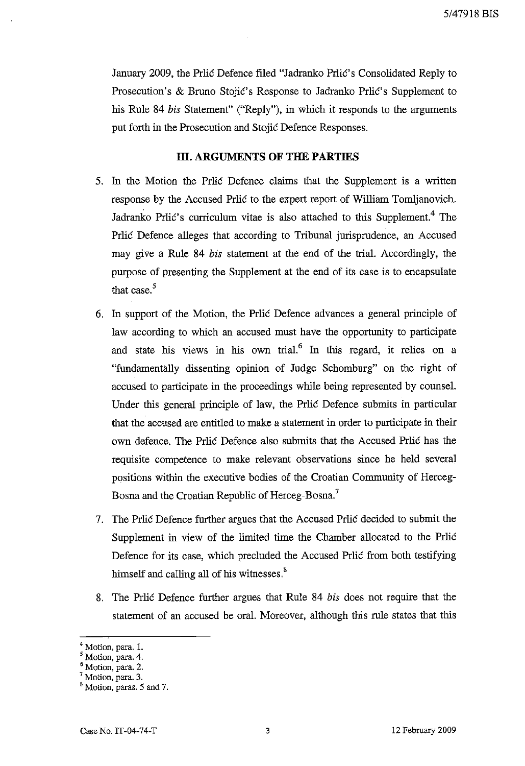5/47918 BIS

January 2009, the Prlic Defence filed "Jadranko Prlic's Consolidated Reply to Prosecution's & Bruno Stojic's Response to Jadranko Prlic's Supplement to his Rule 84 *bis* Statement" ("Reply"), in which it responds to the arguments put forth in the Prosecution and Stojic Defence Responses.

## **III. ARGUMENTS OF THE PARTIES**

- 5. In the Motion the Prlic Defence claims that the Supplement is a written response by the Accused Prlic to the expert report of William Tom1janovich. Jadranko Prlić's curriculum vitae is also attached to this Supplement.<sup>4</sup> The Prlic Defence alleges that according to Tribunal jurisprudence, an Accused may give a Rule 84 *bis* statement at the end of the triaL Accordingly, the purpose of presenting the Supplement at the end of its case is to encapsulate that case. $5$
- 6. In support of the Motion, the Prlic Defence advances a general principle of law according to which an accused must have the opportunity to participate and state his views in his own trial.<sup>6</sup> In this regard, it relies on a "fundamentally dissenting opinion of Judge Schomburg" on the right of accused to participate in the proceedings while being represented by counseL Under this general principle of law, the Prlic Defence submits in particular that the accused are entitled to make a statement in order to participate in their own defence. The Prlic Defence also submits that the Accused Prlic has the requisite competence to make relevant observations since he held several positions within the executive bodies of the Croatian Community of Herceg-Bosna and the Croatian Republic of Herceg-Bosna.<sup>7</sup>
- 7. The Prlic Defence further argues that the Accused Prlic decided to submit the Supplement in view of the limited time the Chamber allocated to the Prlic Defence for its case, which precluded the Accused Prlic from both testifying himself and calling all of his witnesses.<sup>8</sup>
- 8. The Prlic Defence further argues that Rule 84 *bis* does not require that the statement of an accused be oral. Moreover, although this rule states that this

<sup>4</sup> Motion, para. 1.

<sup>5</sup> Motion, para. 4.

<sup>6</sup> Motion, para. 2.

<sup>7</sup> Motion, para. 3.

<sup>&</sup>lt;sup>8</sup> Motion, paras. 5 and 7.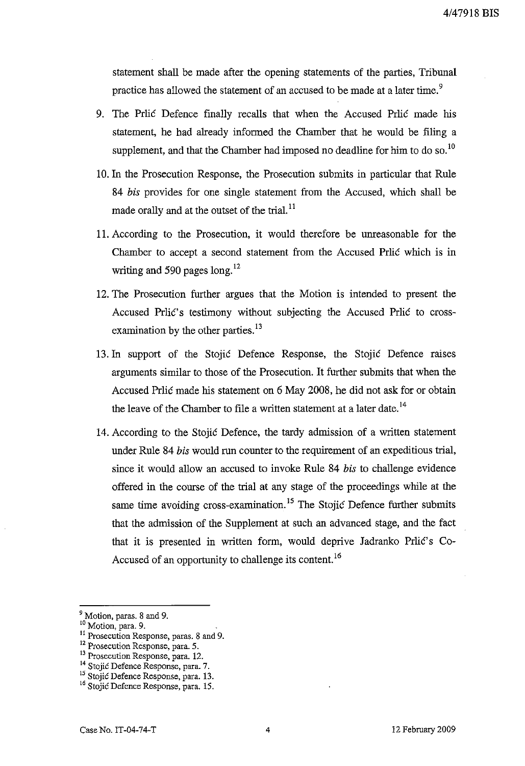statement shall be made after the opening statements of the parties, Tribunal practice has allowed the statement of an accused to be made at a later time.<sup>9</sup>

- 9. The Prlic Defence finally recalls that when the Accused Prlic made his statement, he had already informed the Chamber that he would be filing a supplement, and that the Chamber had imposed no deadline for him to do so.<sup>10</sup>
- 10. In the Prosecution Response, the Prosecution submits in particular that Rule *84 bis* provides for one single statement from the Accused, which shall be made orally and at the outset of the trial. $^{11}$
- 11. According to the Prosecution, it would therefore be unreasonable for the Chamber to accept a second statement from the Accused Prlic which is in writing and 590 pages  $\log$ <sup>12</sup>
- 12. The Prosecution further argues that the Motion is intended to present the Accused Prlic's testimony without subjecting the Accused Prlic to crossexamination by the other parties. $^{13}$
- 13.**In** support of the Stojic Defence Response, the Stojic Defence raises arguments similar to those of the Prosecution. It further submits that when the Accused Prlic made his statement on 6 May 2008, he did not ask for or obtain the leave of the Chamber to file a written statement at a later date.<sup>14</sup>
- 14. According to the Stojic Defence, the tardy admission of a written statement under Rule 84 *bis* would run counter to the requirement of an expeditious trial, since it would allow an accused to invoke Rule 84 *bis* to challenge evidence offered in the course of the trial at any stage of the proceedings while at the same time avoiding cross-examination.<sup>15</sup> The Stojic Defence further submits that the admission of the Supplement at such an advanced stage, and the fact that it is presented in written form, would deprive Jadranko Prlic's Co-Accused of an opportunity to challenge its content.<sup>16</sup>

<sup>&</sup>lt;sup>9</sup> Motion, paras. 8 and 9.

<sup>&</sup>lt;sup>10</sup> Motion, para. 9.

<sup>&</sup>lt;sup>11</sup> Prosecution Response, paras. 8 and 9.

<sup>12</sup> Prosecution Response, para. 5.

**<sup>13</sup> Prosecution Response,para. 12.**

<sup>&</sup>lt;sup>14</sup> Stojić Defence Response, para. 7.

<sup>&</sup>lt;sup>15</sup> Stojić Defence Response, para. 13.

<sup>&</sup>lt;sup>16</sup> Stojić Defence Response, para. 15.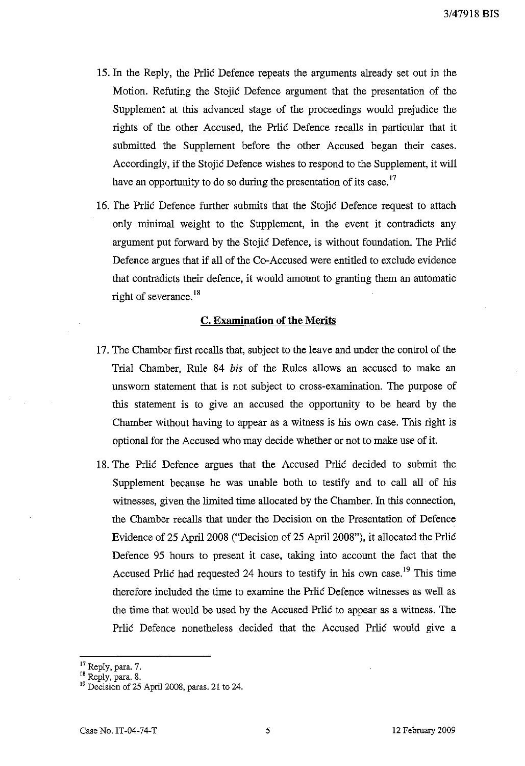- 15. In the Reply, the Prlic Defence repeats the arguments already set out in the Motion. Refuting the Stojic Defence argument that the presentation of the Supplement at this advanced stage of the proceedings would prejudice the rights of the other Accused, the Prlic Defence recalls in particular that it submitted the Supplement before the other Accused began their cases. Accordingly, if the Stojic Defence wishes to respond to the Supplement, it will have an opportunity to do so during the presentation of its case.<sup>17</sup>
- 16. The Prlic Defence further submits that the Stojic Defence request to attach only minimal weight to the Supplement, in the event it contradicts any argument put forward by the Stojic Defence, is without foundation. The Prlic Defence argues that if all of the Co-Accused were entitled to exclude evidence that contradicts their defence, it would amount to granting them an automatic right of severance.<sup>18</sup>

## **C. Examination** of the Merits

- 17. The Chamber first recalls that, subject to the leave and under the control of the Trial Chamber, Rule 84 bis of the Rules allows an accused to make an unsworn statement that is not subject to cross-examination. The purpose of this statement is to give an accused the opportunity to be heard by the Chamber without having to appear as a witness is his own case. This right is optional for the Accused who may decide whether or not to make use of it.
- 18. The Prlic Defence argues that the Accused Prlic decided to submit the Supplement because he was unable both to testify and to call all of his witnesses, given the limited time allocated by the Chamber. **In**this connection, the Chamber recalls that under the Decision on the Presentation of Defence Evidence of 25 April 2008 ("Decision of 25 April 2008"), it allocated the Prlic Defence 95 hours to present it case, taking into account the fact that the Accused Prlic had requested 24 hours to testify in his own case.<sup>19</sup> This time therefore included the time to examine the Prlic Defence witnesses as well as the time that would be used by the Accused Prlic to appear as a witness. The Prlic Defence nonetheless decided that the Accused Prlic would give a

<sup>&</sup>lt;sup>17</sup> Reply, para. 7.

<sup>&</sup>lt;sup>18</sup> Reply, para. 8.

<sup>&</sup>lt;sup>19</sup> Decision of 25 April 2008, paras. 21 to 24.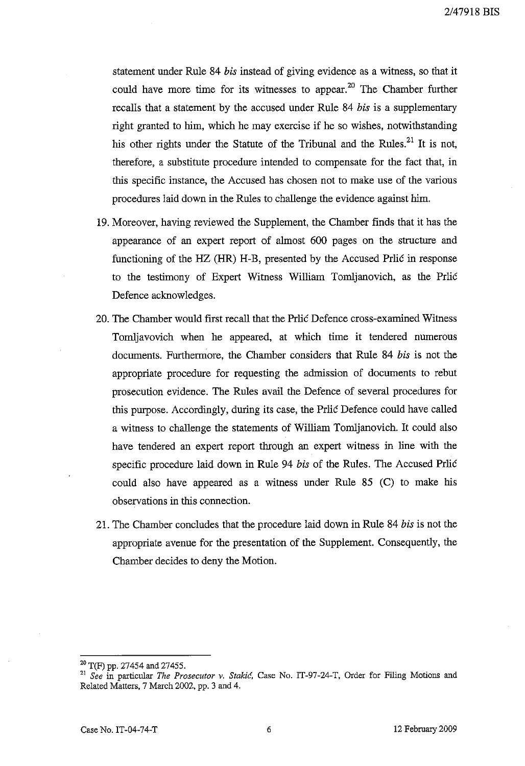statement under Rule 84 *bis* instead of giving evidence as a witness, so that it could have more time for its witnesses to appear.<sup>20</sup> The Chamber further recalls that a statement by the accused under Rule 84 *bis* is a supplementary right granted to him, which he may exercise if he so wishes, notwithstanding his other rights under the Statute of the Tribunal and the Rules. $^{21}$  It is not, therefore, a substitute procedure intended to compensate for the fact that, in this specific instance, the Accused has chosen not to make use of the various procedures laid down in the Rules to challenge the evidence against him.

- 19. Moreover, having reviewed the Supplement, the Chamber finds that it has the appearance of an expert report of almost 600 pages on the structure and functioning of the HZ (HR) H-B, presented by the Accused Prlic in response to the testimony of Expert Witness William Tomljanovich, as the Prlic Defence acknowledges.
- 20. The Chamber would first recall that the Prlic Defence cross-examined Witness Tomljavovich when he appeared, at which time it tendered numerous documents. Furthermore, the Chamber considers that Rille 84 *bis* is not the appropriate procedure for requesting the admission of documents to rebut prosecution evidence. The Rules avail the Defence of several procedures for this purpose. Accordingly, during its case, the Prlic Defence could have called a witness to challenge the statements of William Tomljanovich. It could also have tendered an expert report through an expert witness in line with the specific procedure laid down in Rule 94 *bis* of the Rules. The Accused Prlic could also have appeared as a witness under Rule 85 (C) to make his observations in this connection.
- 21. The Chamber concludes that the procedure laid down in Rule 84 *his* is not the appropriate avenue for the presentation of the Supplement. Consequently, the Chamber decides to deny the Motion.

<sup>20</sup> T(F) pp. 27454 and 27455.

*<sup>21</sup> See* in particular *The Prosecutor* v. *Stakid,* Case No. IT-97-24-T, Order for Filing Motions and Related Matters, 7 March 2002, pp. 3 and 4.